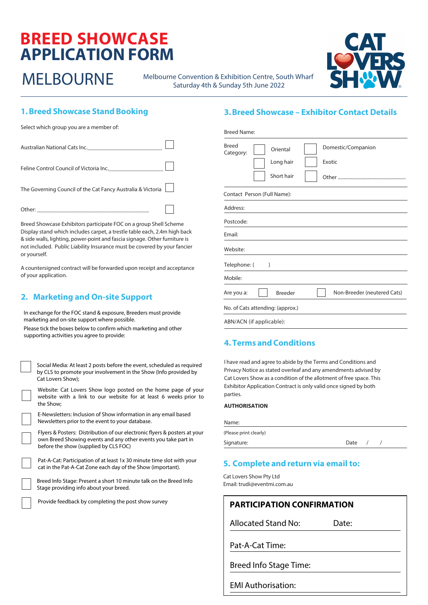# **BREED SHOWCASE APPLICATION FORM**

MELBOURNE Melbourne Convention & Exhibition Centre, South Wharf Saturday 4th & Sunday 5th June 2022



# **1. Breed Showcase Stand Booking**

Select which group you are a member of:

| Australian National Cats Inc.                               |  |
|-------------------------------------------------------------|--|
| Feline Control Council of Victoria Inc.                     |  |
| The Governing Council of the Cat Fancy Australia & Victoria |  |
|                                                             |  |

Breed Showcase Exhibitors participate FOC on a group Shell Scheme Display stand which includes carpet, a trestle table each, 2.4m high back & side walls, lighting, power-point and fascia signage. Other furniture is not included. Public Liability Insurance must be covered by your fancier or yourself.

A countersigned contract will be forwarded upon receipt and acceptance of your application.

# **2. Marketing and On-site Support**

In exchange for the FOC stand & exposure, Breeders must provide marketing and on-site support where possible.

Please tick the boxes below to confirm which marketing and other supporting activities you agree to provide:

Social Media: At least 2 posts before the event, scheduled as required by CLS to promote your involvement in the Show (Info provided by Cat Lovers Show);

Website: Cat Lovers Show logo posted on the home page of your website with a link to our website for at least 6 weeks prior to the Show;

| E-Newsletters: Inclusion of Show information in any email based |
|-----------------------------------------------------------------|
| Newsletters prior to the event to your database.                |

Flyers & Posters: Distribution of our electronic flyers & posters at your own Breed Showing events and any other events you take part in before the show (supplied by CLS FOC)

Pat-A-Cat: Participation of at least 1x 30 minute time slot with your cat in the Pat-A-Cat Zone each day of the Show (important).

Breed Info Stage: Present a short 10 minute talk on the Breed Info Stage providing info about your breed.

Provide feedback by completing the post show survey

## **3.Breed Showcase – Exhibitor Contact Details**

| <b>Breed Name:</b>        |                                     |        |                             |
|---------------------------|-------------------------------------|--------|-----------------------------|
| <b>Breed</b><br>Category: | Oriental<br>Long hair<br>Short hair | Exotic | Domestic/Companion          |
|                           | Contact Person (Full Name):         |        |                             |
| Address:                  |                                     |        |                             |
| Postcode:                 |                                     |        |                             |
| Email:                    |                                     |        |                             |
| Website:                  |                                     |        |                             |
| Telephone: (              | $\mathcal{E}$                       |        |                             |
| Mobile:                   |                                     |        |                             |
| Are you a:                | <b>Breeder</b>                      |        | Non-Breeder (neutered Cats) |
|                           | No. of Cats attending: (approx.)    |        |                             |
|                           | ABN/ACN (if applicable):            |        |                             |

# **4.Terms and Conditions**

I have read and agree to abide by the Terms and Conditions and Privacy Notice as stated overleaf and any amendments advised by Cat Lovers Show as a condition of the allotment of free space. This Exhibitor Application Contract is only valid once signed by both parties.

### **AUTHORISATION**

| Name:                  |      |  |  |
|------------------------|------|--|--|
| (Please print clearly) |      |  |  |
| Signature:             | Date |  |  |
|                        |      |  |  |

# **5. Complete and return via email to:**

Cat Lovers Show Pty Ltd Email: trudi@eventmi.com.au

# **PARTICIPATION CONFIRMATION**

Allocated Stand No: Date:

Pat-A-Cat Time:

Breed Info Stage Time:

EMI Authorisation: